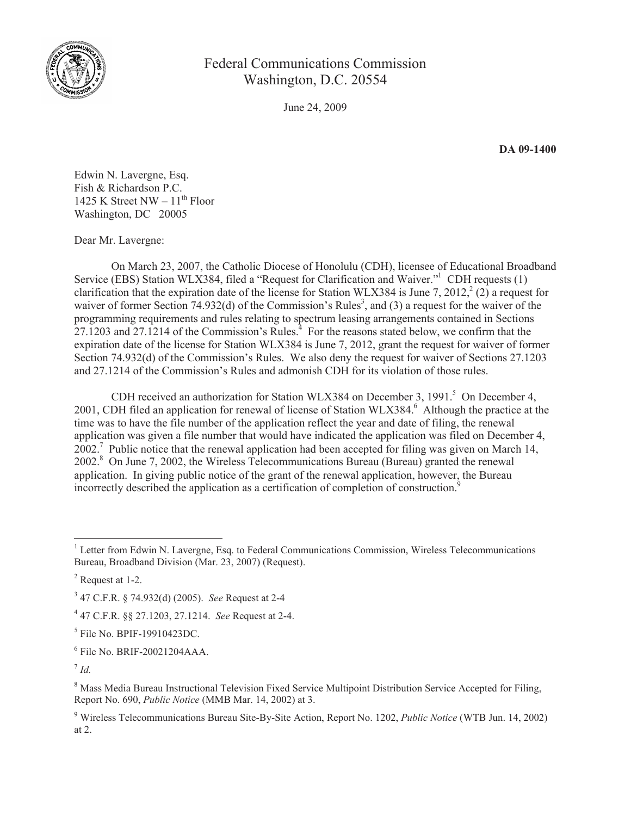

Federal Communications Commission Washington, D.C. 20554

June 24, 2009

**DA 09-1400**

Edwin N. Lavergne, Esq. Fish & Richardson P.C. 1425 K Street NW –  $11^{th}$  Floor Washington, DC 20005

Dear Mr. Lavergne:

On March 23, 2007, the Catholic Diocese of Honolulu (CDH), licensee of Educational Broadband Service (EBS) Station WLX384, filed a "Request for Clarification and Waiver."<sup>1</sup> CDH requests (1) clarification that the expiration date of the license for Station WLX384 is June 7, 2012,  $\binom{2}{2}$  a request for waiver of former Section 74.932(d) of the Commission's Rules<sup>3</sup>, and (3) a request for the waiver of the programming requirements and rules relating to spectrum leasing arrangements contained in Sections  $27.1203$  and  $27.1214$  of the Commission's Rules.<sup>4</sup> For the reasons stated below, we confirm that the expiration date of the license for Station WLX384 is June 7, 2012, grant the request for waiver of former Section 74.932(d) of the Commission's Rules. We also deny the request for waiver of Sections 27.1203 and 27.1214 of the Commission's Rules and admonish CDH for its violation of those rules.

CDH received an authorization for Station WLX384 on December 3, 1991.<sup>5</sup> On December 4, 2001, CDH filed an application for renewal of license of Station WLX384.<sup>6</sup> Although the practice at the time was to have the file number of the application reflect the year and date of filing, the renewal application was given a file number that would have indicated the application was filed on December 4,  $2002$ .<sup>7</sup> Public notice that the renewal application had been accepted for filing was given on March 14, 2002. <sup>8</sup> On June 7, 2002, the Wireless Telecommunications Bureau (Bureau) granted the renewal application. In giving public notice of the grant of the renewal application, however, the Bureau incorrectly described the application as a certification of completion of construction.<sup>9</sup>

7 *Id.*

<sup>9</sup> Wireless Telecommunications Bureau Site-By-Site Action, Report No. 1202, *Public Notice* (WTB Jun. 14, 2002) at 2.

<sup>&</sup>lt;sup>1</sup> Letter from Edwin N. Lavergne, Esq. to Federal Communications Commission, Wireless Telecommunications Bureau, Broadband Division (Mar. 23, 2007) (Request).

 $2$  Request at 1-2.

<sup>3</sup> 47 C.F.R. § 74.932(d) (2005). *See* Request at 2-4

<sup>4</sup> 47 C.F.R. §§ 27.1203, 27.1214. *See* Request at 2-4.

<sup>5</sup> File No. BPIF-19910423DC.

<sup>6</sup> File No. BRIF-20021204AAA.

<sup>&</sup>lt;sup>8</sup> Mass Media Bureau Instructional Television Fixed Service Multipoint Distribution Service Accepted for Filing, Report No. 690, *Public Notice* (MMB Mar. 14, 2002) at 3.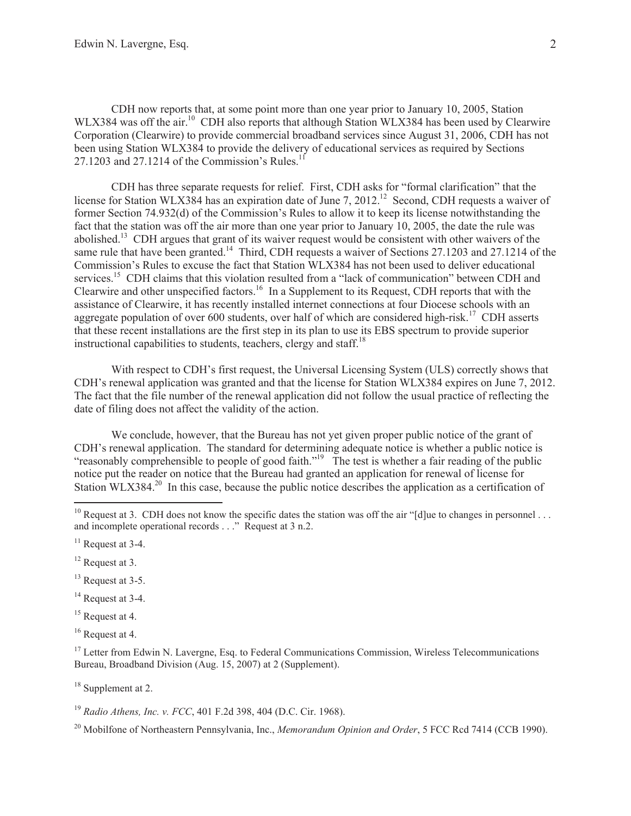CDH now reports that, at some point more than one year prior to January 10, 2005, Station WLX384 was off the air.<sup>10</sup> CDH also reports that although Station WLX384 has been used by Clearwire Corporation (Clearwire) to provide commercial broadband services since August 31, 2006, CDH has not been using Station WLX384 to provide the delivery of educational services as required by Sections 27.1203 and 27.1214 of the Commission's Rules.<sup>11</sup>

CDH has three separate requests for relief. First, CDH asks for "formal clarification" that the license for Station WLX384 has an expiration date of June 7, 2012.<sup>12</sup> Second, CDH requests a waiver of former Section 74.932(d) of the Commission's Rules to allow it to keep its license notwithstanding the fact that the station was off the air more than one year prior to January 10, 2005, the date the rule was abolished.<sup>13</sup> CDH argues that grant of its waiver request would be consistent with other waivers of the same rule that have been granted.<sup>14</sup> Third, CDH requests a waiver of Sections 27.1203 and 27.1214 of the Commission's Rules to excuse the fact that Station WLX384 has not been used to deliver educational services.<sup>15</sup> CDH claims that this violation resulted from a "lack of communication" between CDH and Clearwire and other unspecified factors.<sup>16</sup> In a Supplement to its Request, CDH reports that with the assistance of Clearwire, it has recently installed internet connections at four Diocese schools with an aggregate population of over 600 students, over half of which are considered high-risk.<sup>17</sup> CDH asserts that these recent installations are the first step in its plan to use its EBS spectrum to provide superior instructional capabilities to students, teachers, clergy and staff.<sup>18</sup>

With respect to CDH's first request, the Universal Licensing System (ULS) correctly shows that CDH's renewal application was granted and that the license for Station WLX384 expires on June 7, 2012. The fact that the file number of the renewal application did not follow the usual practice of reflecting the date of filing does not affect the validity of the action.

We conclude, however, that the Bureau has not yet given proper public notice of the grant of CDH's renewal application. The standard for determining adequate notice is whether a public notice is "reasonably comprehensible to people of good faith."<sup>19</sup> The test is whether a fair reading of the public notice put the reader on notice that the Bureau had granted an application for renewal of license for Station WLX384.<sup>20</sup> In this case, because the public notice describes the application as a certification of

- <sup>13</sup> Request at 3-5.
- <sup>14</sup> Request at 3-4.
- <sup>15</sup> Request at 4.
- <sup>16</sup> Request at 4.

<sup>17</sup> Letter from Edwin N. Lavergne, Esq. to Federal Communications Commission, Wireless Telecommunications Bureau, Broadband Division (Aug. 15, 2007) at 2 (Supplement).

<sup>18</sup> Supplement at 2.

<sup>19</sup> *Radio Athens, Inc. v. FCC*, 401 F.2d 398, 404 (D.C. Cir. 1968).

<sup>20</sup> Mobilfone of Northeastern Pennsylvania, Inc., *Memorandum Opinion and Order*, 5 FCC Rcd 7414 (CCB 1990).

<sup>&</sup>lt;sup>10</sup> Request at 3. CDH does not know the specific dates the station was off the air "[d]ue to changes in personnel ... and incomplete operational records . . ." Request at 3 n.2.

 $11$  Request at 3-4.

<sup>&</sup>lt;sup>12</sup> Request at 3.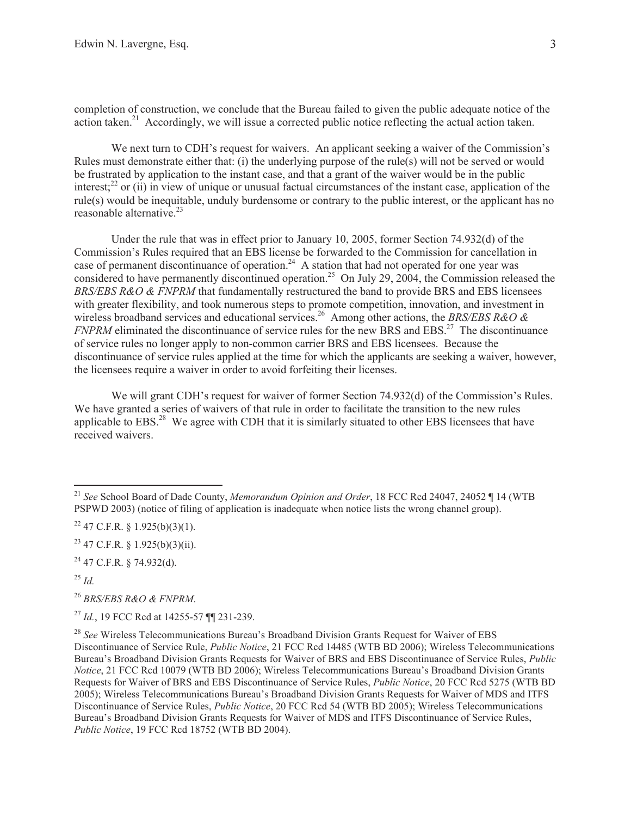completion of construction, we conclude that the Bureau failed to given the public adequate notice of the action taken.<sup>21</sup> Accordingly, we will issue a corrected public notice reflecting the actual action taken.

We next turn to CDH's request for waivers. An applicant seeking a waiver of the Commission's Rules must demonstrate either that: (i) the underlying purpose of the rule(s) will not be served or would be frustrated by application to the instant case, and that a grant of the waiver would be in the public interest;<sup>22</sup> or (ii) in view of unique or unusual factual circumstances of the instant case, application of the rule(s) would be inequitable, unduly burdensome or contrary to the public interest, or the applicant has no reasonable alternative. $^{23}$ 

Under the rule that was in effect prior to January 10, 2005, former Section 74.932(d) of the Commission's Rules required that an EBS license be forwarded to the Commission for cancellation in case of permanent discontinuance of operation.<sup>24</sup> A station that had not operated for one year was considered to have permanently discontinued operation.<sup>25</sup> On July 29, 2004, the Commission released the *BRS/EBS R&O & FNPRM* that fundamentally restructured the band to provide BRS and EBS licensees with greater flexibility, and took numerous steps to promote competition, innovation, and investment in wireless broadband services and educational services.<sup>26</sup> Among other actions, the *BRS/EBS R&O & FNPRM* eliminated the discontinuance of service rules for the new BRS and EBS.<sup>27</sup> The discontinuance of service rules no longer apply to non-common carrier BRS and EBS licensees. Because the discontinuance of service rules applied at the time for which the applicants are seeking a waiver, however, the licensees require a waiver in order to avoid forfeiting their licenses.

We will grant CDH's request for waiver of former Section 74.932(d) of the Commission's Rules. We have granted a series of waivers of that rule in order to facilitate the transition to the new rules applicable to EBS.<sup>28</sup> We agree with CDH that it is similarly situated to other EBS licensees that have received waivers.

<sup>21</sup> *See* School Board of Dade County, *Memorandum Opinion and Order*, 18 FCC Rcd 24047, 24052 ¶ 14 (WTB PSPWD 2003) (notice of filing of application is inadequate when notice lists the wrong channel group).

 $22$  47 C.F.R. § 1.925(b)(3)(1).

 $23$  47 C.F.R. § 1.925(b)(3)(ii).

 $^{24}$  47 C.F.R. § 74.932(d).

<sup>25</sup> *Id.*

<sup>26</sup> *BRS/EBS R&O & FNPRM*.

<sup>27</sup> *Id.*, 19 FCC Rcd at 14255-57 ¶¶ 231-239.

<sup>28</sup> *See* Wireless Telecommunications Bureau's Broadband Division Grants Request for Waiver of EBS Discontinuance of Service Rule, *Public Notice*, 21 FCC Rcd 14485 (WTB BD 2006); Wireless Telecommunications Bureau's Broadband Division Grants Requests for Waiver of BRS and EBS Discontinuance of Service Rules, *Public Notice*, 21 FCC Rcd 10079 (WTB BD 2006); Wireless Telecommunications Bureau's Broadband Division Grants Requests for Waiver of BRS and EBS Discontinuance of Service Rules, *Public Notice*, 20 FCC Rcd 5275 (WTB BD 2005); Wireless Telecommunications Bureau's Broadband Division Grants Requests for Waiver of MDS and ITFS Discontinuance of Service Rules, *Public Notice*, 20 FCC Rcd 54 (WTB BD 2005); Wireless Telecommunications Bureau's Broadband Division Grants Requests for Waiver of MDS and ITFS Discontinuance of Service Rules, *Public Notice*, 19 FCC Rcd 18752 (WTB BD 2004).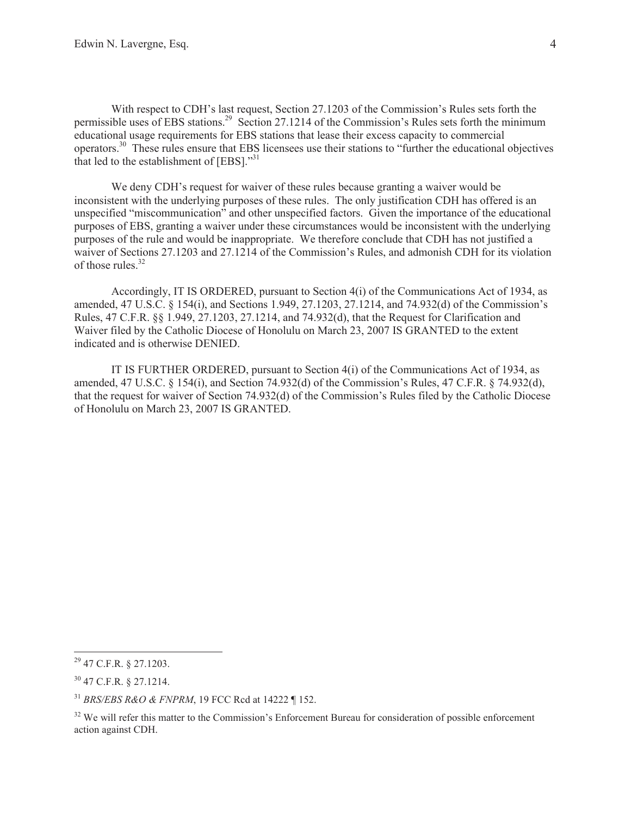With respect to CDH's last request, Section 27.1203 of the Commission's Rules sets forth the permissible uses of EBS stations.<sup>29</sup> Section 27.1214 of the Commission's Rules sets forth the minimum educational usage requirements for EBS stations that lease their excess capacity to commercial operators.<sup>30</sup> These rules ensure that EBS licensees use their stations to "further the educational objectives that led to the establishment of  $[EBS]$ ."<sup>31</sup>

We deny CDH's request for waiver of these rules because granting a waiver would be inconsistent with the underlying purposes of these rules. The only justification CDH has offered is an unspecified "miscommunication" and other unspecified factors. Given the importance of the educational purposes of EBS, granting a waiver under these circumstances would be inconsistent with the underlying purposes of the rule and would be inappropriate. We therefore conclude that CDH has not justified a waiver of Sections 27.1203 and 27.1214 of the Commission's Rules, and admonish CDH for its violation of those rules. $32$ 

Accordingly, IT IS ORDERED, pursuant to Section 4(i) of the Communications Act of 1934, as amended, 47 U.S.C. § 154(i), and Sections 1.949, 27.1203, 27.1214, and 74.932(d) of the Commission's Rules, 47 C.F.R. §§ 1.949, 27.1203, 27.1214, and 74.932(d), that the Request for Clarification and Waiver filed by the Catholic Diocese of Honolulu on March 23, 2007 IS GRANTED to the extent indicated and is otherwise DENIED.

IT IS FURTHER ORDERED, pursuant to Section 4(i) of the Communications Act of 1934, as amended, 47 U.S.C. § 154(i), and Section 74.932(d) of the Commission's Rules, 47 C.F.R. § 74.932(d), that the request for waiver of Section 74.932(d) of the Commission's Rules filed by the Catholic Diocese of Honolulu on March 23, 2007 IS GRANTED.

<sup>29</sup> 47 C.F.R. § 27.1203.

<sup>30</sup> 47 C.F.R. § 27.1214.

<sup>31</sup> *BRS/EBS R&O & FNPRM*, 19 FCC Rcd at 14222 ¶ 152.

<sup>&</sup>lt;sup>32</sup> We will refer this matter to the Commission's Enforcement Bureau for consideration of possible enforcement action against CDH.